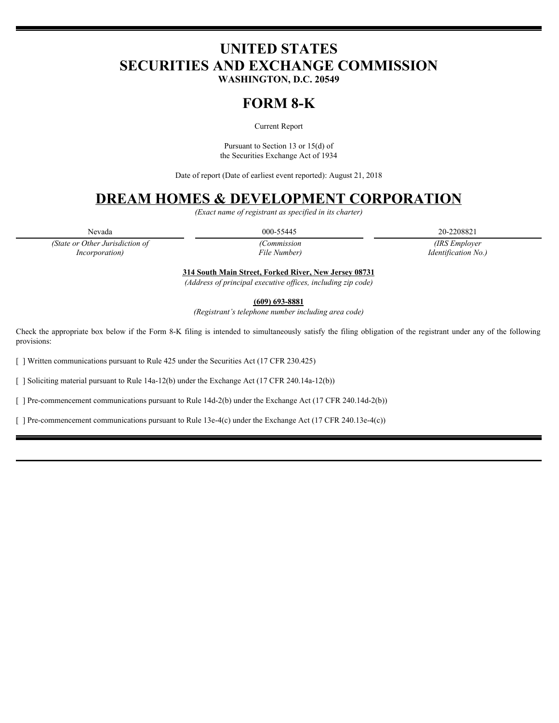# **UNITED STATES SECURITIES AND EXCHANGE COMMISSION**

**WASHINGTON, D.C. 20549**

## **FORM 8-K**

Current Report

Pursuant to Section 13 or 15(d) of the Securities Exchange Act of 1934

Date of report (Date of earliest event reported): August 21, 2018

### **DREAM HOMES & DEVELOPMENT CORPORATION**

*(Exact name of registrant as specified in its charter)*

Nevada 20-2208821 20-2208821 20-2208821 20-2208821 20-2208821

*(State or Other Jurisdiction of Incorporation)* 

*File* 

*(Commission (IRS Employer Identification No.) No.)*

**314 South Main Street, Forked River, New Jersey 08731**

*(Address of principal executive offices, including zip code)*

**(609) 693-8881**

*(Registrant's telephone number including area code)*

Check the appropriate box below if the Form 8-K filing is intended to simultaneously satisfy the filing obligation of the registrant under any of the following provisions:

[ ] Written communications pursuant to Rule 425 under the Securities Act (17 CFR 230.425)

[ ] Soliciting material pursuant to Rule 14a-12(b) under the Exchange Act (17 CFR 240.14a-12(b))

[ ] Pre-commencement communications pursuant to Rule 14d-2(b) under the Exchange Act (17 CFR 240.14d-2(b))

[ ] Pre-commencement communications pursuant to Rule 13e-4(c) under the Exchange Act (17 CFR 240.13e-4(c))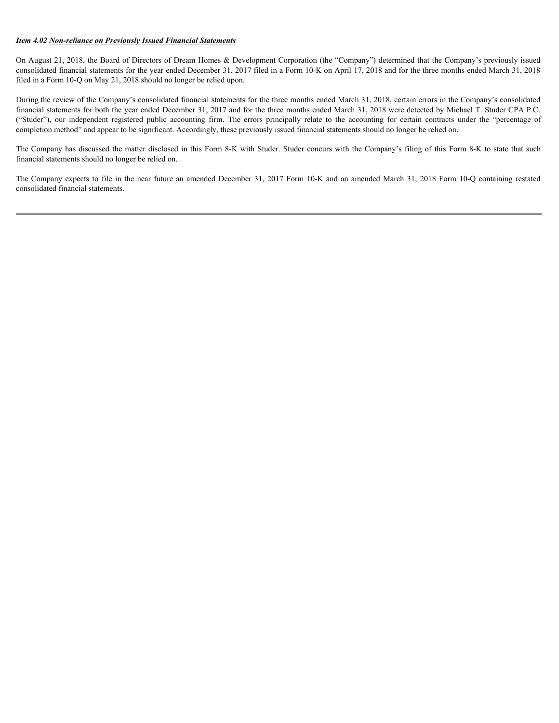#### *Item 4.02 Non-reliance on Previously Issued Financial Statements*

On August 21, 2018, the Board of Directors of Dream Homes & Development Corporation (the "Company") determined that the Company's previously issued consolidated financial statements for the year ended December 31, 2017 filed in a Form 10-K on April 17, 2018 and for the three months ended March 31, 2018 filed in a Form 10-Q on May 21, 2018 should no longer be relied upon.

During the review of the Company's consolidated financial statements for the three months ended March 31, 2018, certain errors in the Company's consolidated financial statements for both the year ended December 31, 2017 and for the three months ended March 31, 2018 were detected by Michael T. Studer CPA P.C. *Hem* 4.02 <u>Non-reliance on Previously Issued Financial Slatements</u><br>On August 21, 2018, the Boart of Directors of Dream Homes & Development Corporation (the "Company") determined that the Company's previously issued<br>consol completion method" and appear to be significant. Accordingly, these previously issued financial statements should no longer be relied on. *Ifem 4.02 Non-reliance on Previously Issued Financial Suternents*<br>On August 21, 2018, the Board of Directors of Dream Homes & Development Corporation (the "Company") determined that the Company's previously issued<br>consoli

The Company has discussed the matter disclosed in this Form 8-K with Studer. Studer concurs with the Company's filing of this Form 8-K to state that such financial statements should no longer be relied on.

consolidated financial statements.